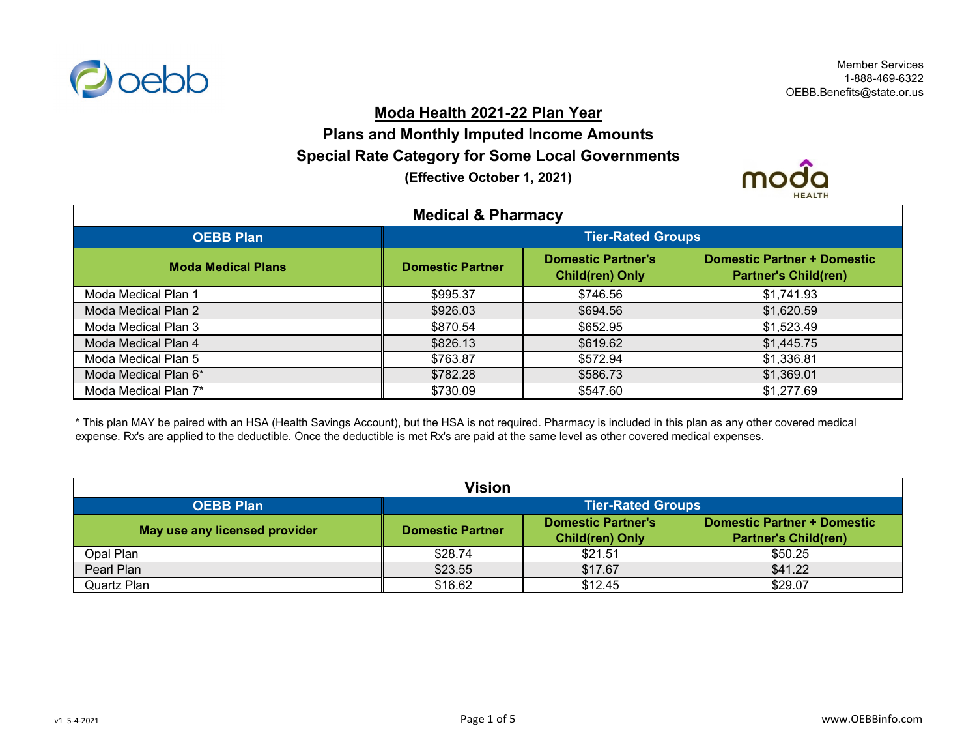

## **Moda Health 2021-22 Plan Year**

## **Plans and Monthly Imputed Income Amounts Special Rate Category for Some Local Governments**

**(Effective October 1, 2021)**



| <b>Medical &amp; Pharmacy</b> |                          |                                                     |                                                                   |
|-------------------------------|--------------------------|-----------------------------------------------------|-------------------------------------------------------------------|
| <b>OEBB Plan</b>              | <b>Tier-Rated Groups</b> |                                                     |                                                                   |
| <b>Moda Medical Plans</b>     | <b>Domestic Partner</b>  | <b>Domestic Partner's</b><br><b>Child(ren) Only</b> | <b>Domestic Partner + Domestic</b><br><b>Partner's Child(ren)</b> |
| Moda Medical Plan 1           | \$995.37                 | \$746.56                                            | \$1,741.93                                                        |
| Moda Medical Plan 2           | \$926.03                 | \$694.56                                            | \$1,620.59                                                        |
| Moda Medical Plan 3           | \$870.54                 | \$652.95                                            | \$1,523.49                                                        |
| Moda Medical Plan 4           | \$826.13                 | \$619.62                                            | \$1,445.75                                                        |
| Moda Medical Plan 5           | \$763.87                 | \$572.94                                            | \$1,336.81                                                        |
| Moda Medical Plan 6*          | \$782.28                 | \$586.73                                            | \$1,369.01                                                        |
| Moda Medical Plan 7*          | \$730.09                 | \$547.60                                            | \$1,277.69                                                        |

\* This plan MAY be paired with an HSA (Health Savings Account), but the HSA is not required. Pharmacy is included in this plan as any other covered medical expense. Rx's are applied to the deductible. Once the deductible is met Rx's are paid at the same level as other covered medical expenses.

| Vision                        |                          |                                              |                                                                   |
|-------------------------------|--------------------------|----------------------------------------------|-------------------------------------------------------------------|
| <b>OEBB Plan</b>              | <b>Tier-Rated Groups</b> |                                              |                                                                   |
| May use any licensed provider | <b>Domestic Partner</b>  | Domestic Partner's<br><b>Child(ren) Only</b> | <b>Domestic Partner + Domestic</b><br><b>Partner's Child(ren)</b> |
| Opal Plan                     | \$28.74                  | \$21.51                                      | \$50.25                                                           |
| Pearl Plan                    | \$23.55                  | \$17.67                                      | \$41.22                                                           |
| Quartz Plan                   | \$16.62                  | \$12.45                                      | \$29.07                                                           |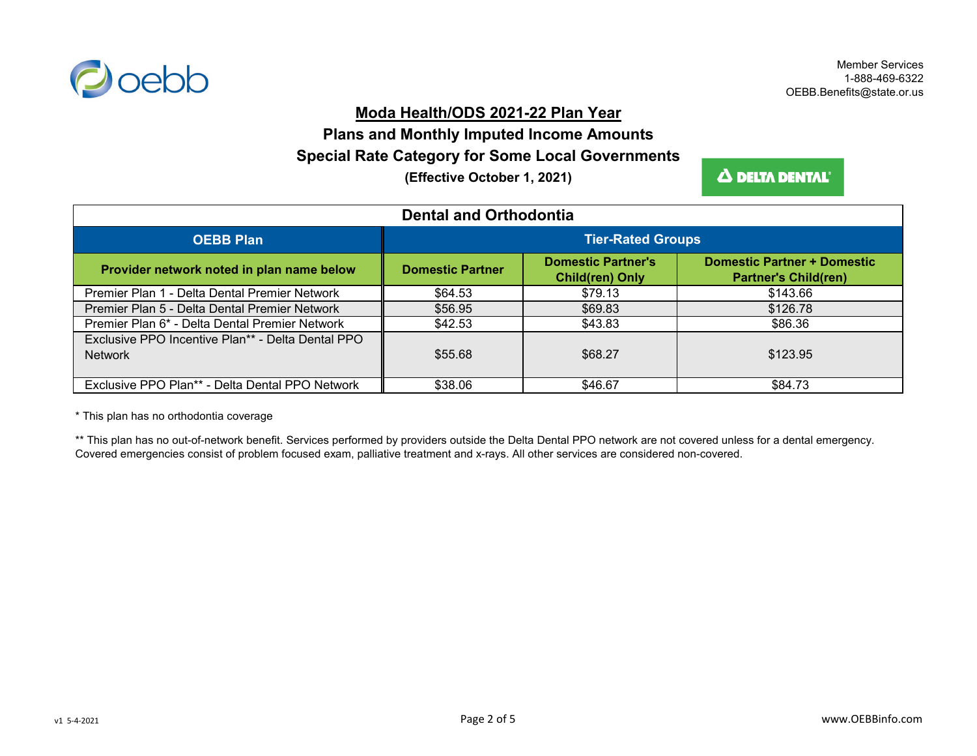

## **Moda Health/ODS 2021-22 Plan Year**

# **Special Rate Category for Some Local Governments Plans and Monthly Imputed Income Amounts**

**(Effective October 1, 2021)**

Δ DELTA DENTAL'

| <b>Dental and Orthodontia</b>                                       |                          |                                                     |                                                                   |
|---------------------------------------------------------------------|--------------------------|-----------------------------------------------------|-------------------------------------------------------------------|
| <b>OEBB Plan</b>                                                    | <b>Tier-Rated Groups</b> |                                                     |                                                                   |
| Provider network noted in plan name below                           | <b>Domestic Partner</b>  | <b>Domestic Partner's</b><br><b>Child(ren) Only</b> | <b>Domestic Partner + Domestic</b><br><b>Partner's Child(ren)</b> |
| Premier Plan 1 - Delta Dental Premier Network                       | \$64.53                  | \$79.13                                             | \$143.66                                                          |
| Premier Plan 5 - Delta Dental Premier Network                       | \$56.95                  | \$69.83                                             | \$126.78                                                          |
| Premier Plan 6* - Delta Dental Premier Network                      | \$42.53                  | \$43.83                                             | \$86.36                                                           |
| Exclusive PPO Incentive Plan** - Delta Dental PPO<br><b>Network</b> | \$55.68                  | \$68.27                                             | \$123.95                                                          |
| Exclusive PPO Plan** - Delta Dental PPO Network                     | \$38.06                  | \$46.67                                             | \$84.73                                                           |

\* This plan has no orthodontia coverage

\*\* This plan has no out-of-network benefit. Services performed by providers outside the Delta Dental PPO network are not covered unless for a dental emergency. Covered emergencies consist of problem focused exam, palliative treatment and x-rays. All other services are considered non-covered.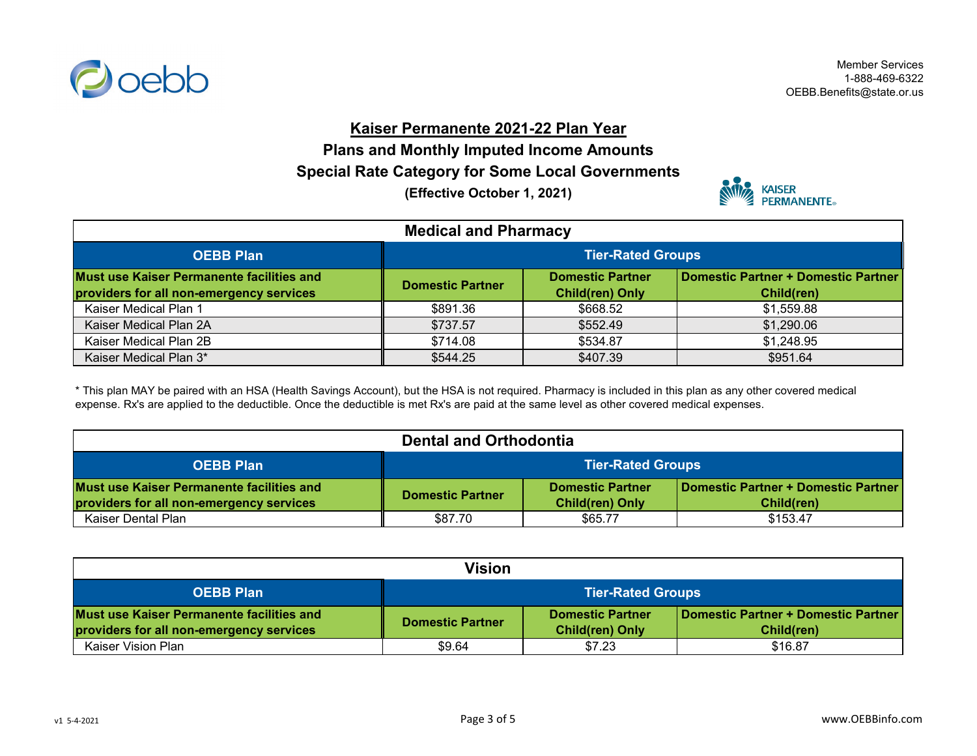

Member Services 1-888-469-6322 OEBB.Benefits@state.or.us

### **Kaiser Permanente 2021-22 Plan Year**

**Plans and Monthly Imputed Income Amounts**

**Special Rate Category for Some Local Governments**

**(Effective October 1, 2021)**



| <b>Medical and Pharmacy</b>                                                           |                          |                                                   |                                                   |
|---------------------------------------------------------------------------------------|--------------------------|---------------------------------------------------|---------------------------------------------------|
| <b>OEBB Plan</b>                                                                      | <b>Tier-Rated Groups</b> |                                                   |                                                   |
| Must use Kaiser Permanente facilities and<br>providers for all non-emergency services | <b>Domestic Partner</b>  | <b>Domestic Partner</b><br><b>Child(ren) Only</b> | Domestic Partner + Domestic Partner<br>Child(ren) |
| Kaiser Medical Plan 1                                                                 | \$891.36                 | \$668.52                                          | \$1,559.88                                        |
| Kaiser Medical Plan 2A                                                                | \$737.57                 | \$552.49                                          | \$1,290.06                                        |
| Kaiser Medical Plan 2B                                                                | \$714.08                 | \$534.87                                          | \$1,248.95                                        |
| Kaiser Medical Plan 3*                                                                | \$544.25                 | \$407.39                                          | \$951.64                                          |

\* This plan MAY be paired with an HSA (Health Savings Account), but the HSA is not required. Pharmacy is included in this plan as any other covered medical expense. Rx's are applied to the deductible. Once the deductible is met Rx's are paid at the same level as other covered medical expenses.

| <b>Dental and Orthodontia</b>                                                         |                                                                                                                                   |         |          |
|---------------------------------------------------------------------------------------|-----------------------------------------------------------------------------------------------------------------------------------|---------|----------|
| <b>OEBB Plan</b>                                                                      | <b>Tier-Rated Groups</b>                                                                                                          |         |          |
| Must use Kaiser Permanente facilities and<br>providers for all non-emergency services | Domestic Partner + Domestic Partner<br><b>Domestic Partner</b><br><b>Domestic Partner</b><br><b>Child(ren) Only</b><br>Child(ren) |         |          |
| Kaiser Dental Plan                                                                    | \$87.70                                                                                                                           | \$65.77 | \$153.47 |

| <b>Vision</b>                                                                         |                                                                                                                                   |        |         |
|---------------------------------------------------------------------------------------|-----------------------------------------------------------------------------------------------------------------------------------|--------|---------|
| <b>OEBB Plan</b>                                                                      | <b>Tier-Rated Groups</b>                                                                                                          |        |         |
| Must use Kaiser Permanente facilities and<br>providers for all non-emergency services | Domestic Partner + Domestic Partner<br><b>Domestic Partner</b><br><b>Domestic Partner</b><br><b>Child(ren) Only</b><br>Child(ren) |        |         |
| Kaiser Vision Plan                                                                    | \$9.64                                                                                                                            | \$7.23 | \$16.87 |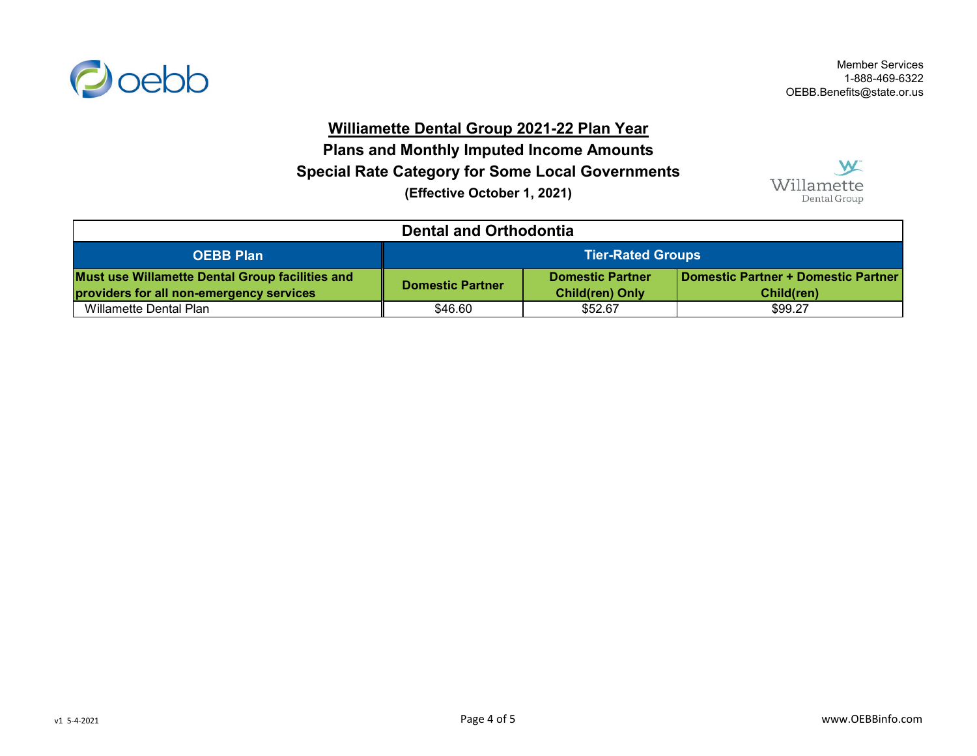

Member Services 1-888-469-6322 OEBB.Benefits@state.or.us

#### **Williamette Dental Group 2021-22 Plan Year**

**Special Rate Category for Some Local Governments Plans and Monthly Imputed Income Amounts (Effective October 1, 2021)**

W Willamette Dental Group

| <b>Dental and Orthodontia</b>                                                                      |                                                                                                                                   |         |         |
|----------------------------------------------------------------------------------------------------|-----------------------------------------------------------------------------------------------------------------------------------|---------|---------|
| <b>OEBB Plan</b>                                                                                   | <b>Tier-Rated Groups</b>                                                                                                          |         |         |
| <b>Must use Willamette Dental Group facilities and</b><br>providers for all non-emergency services | Domestic Partner + Domestic Partner<br><b>Domestic Partner</b><br><b>Domestic Partner</b><br><b>Child(ren) Only</b><br>Child(ren) |         |         |
| Willamette Dental Plan                                                                             | \$46.60                                                                                                                           | \$52.67 | \$99.27 |